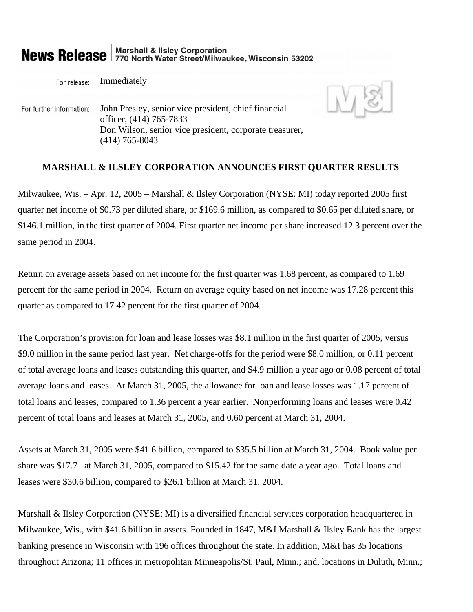# **News Release** 770 North Water Street/Milwaukee, Wisconsin 53202

Immediately For release:

John Presley, senior vice president, chief financial For further information: officer, (414) 765-7833 Don Wilson, senior vice president, corporate treasurer, (414) 765-8043

## **MARSHALL & ILSLEY CORPORATION ANNOUNCES FIRST QUARTER RESULTS**

Milwaukee, Wis. – Apr. 12, 2005 – Marshall & Ilsley Corporation (NYSE: MI) today reported 2005 first quarter net income of \$0.73 per diluted share, or \$169.6 million, as compared to \$0.65 per diluted share, or \$146.1 million, in the first quarter of 2004. First quarter net income per share increased 12.3 percent over the same period in 2004.

Return on average assets based on net income for the first quarter was 1.68 percent, as compared to 1.69 percent for the same period in 2004. Return on average equity based on net income was 17.28 percent this quarter as compared to 17.42 percent for the first quarter of 2004.

The Corporation's provision for loan and lease losses was \$8.1 million in the first quarter of 2005, versus \$9.0 million in the same period last year. Net charge-offs for the period were \$8.0 million, or 0.11 percent of total average loans and leases outstanding this quarter, and \$4.9 million a year ago or 0.08 percent of total average loans and leases. At March 31, 2005, the allowance for loan and lease losses was 1.17 percent of total loans and leases, compared to 1.36 percent a year earlier. Nonperforming loans and leases were 0.42 percent of total loans and leases at March 31, 2005, and 0.60 percent at March 31, 2004.

Assets at March 31, 2005 were \$41.6 billion, compared to \$35.5 billion at March 31, 2004. Book value per share was \$17.71 at March 31, 2005, compared to \$15.42 for the same date a year ago. Total loans and leases were \$30.6 billion, compared to \$26.1 billion at March 31, 2004.

Marshall & Ilsley Corporation (NYSE: MI) is a diversified financial services corporation headquartered in Milwaukee, Wis., with \$41.6 billion in assets. Founded in 1847, M&I Marshall & Ilsley Bank has the largest banking presence in Wisconsin with 196 offices throughout the state. In addition, M&I has 35 locations throughout Arizona; 11 offices in metropolitan Minneapolis/St. Paul, Minn.; and, locations in Duluth, Minn.;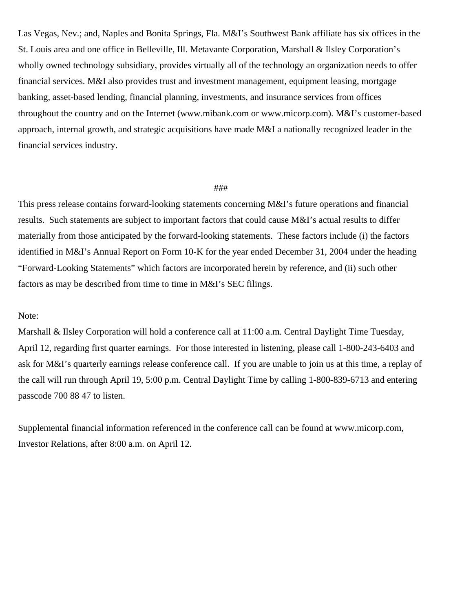Las Vegas, Nev.; and, Naples and Bonita Springs, Fla. M&I's Southwest Bank affiliate has six offices in the St. Louis area and one office in Belleville, Ill. Metavante Corporation, Marshall & Ilsley Corporation's wholly owned technology subsidiary, provides virtually all of the technology an organization needs to offer financial services. M&I also provides trust and investment management, equipment leasing, mortgage banking, asset-based lending, financial planning, investments, and insurance services from offices throughout the country and on the Internet (www.mibank.com or www.micorp.com). M&I's customer-based approach, internal growth, and strategic acquisitions have made M&I a nationally recognized leader in the financial services industry.

## ###

This press release contains forward-looking statements concerning M&I's future operations and financial results. Such statements are subject to important factors that could cause M&I's actual results to differ materially from those anticipated by the forward-looking statements. These factors include (i) the factors identified in M&I's Annual Report on Form 10-K for the year ended December 31, 2004 under the heading "Forward-Looking Statements" which factors are incorporated herein by reference, and (ii) such other factors as may be described from time to time in M&I's SEC filings.

## Note:

Marshall & Ilsley Corporation will hold a conference call at 11:00 a.m. Central Daylight Time Tuesday, April 12, regarding first quarter earnings. For those interested in listening, please call 1-800-243-6403 and ask for M&I's quarterly earnings release conference call. If you are unable to join us at this time, a replay of the call will run through April 19, 5:00 p.m. Central Daylight Time by calling 1-800-839-6713 and entering passcode 700 88 47 to listen.

Supplemental financial information referenced in the conference call can be found at www.micorp.com, Investor Relations, after 8:00 a.m. on April 12.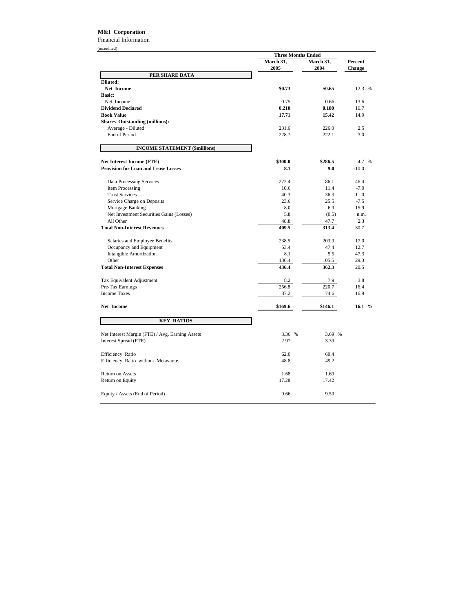## **M&I Corporation**

Financial Information

| (unaudited)                                     |                                                                                                 |         |          |
|-------------------------------------------------|-------------------------------------------------------------------------------------------------|---------|----------|
|                                                 | <b>Three Months Ended</b><br>March 31,<br>March 31,<br>Percent<br>2005<br>2004<br><b>Change</b> |         |          |
|                                                 |                                                                                                 |         |          |
| PER SHARE DATA                                  |                                                                                                 |         |          |
| Diluted:                                        |                                                                                                 |         |          |
| Net Income                                      | \$0.73                                                                                          | \$0.65  | 12.3 %   |
| <b>Basic:</b>                                   |                                                                                                 |         |          |
| Net Income                                      | 0.75                                                                                            | 0.66    | 13.6     |
| <b>Dividend Declared</b>                        | 0.210                                                                                           | 0.180   | 16.7     |
| <b>Book Value</b>                               | 17.71                                                                                           | 15.42   | 14.9     |
| <b>Shares Outstanding (millions):</b>           |                                                                                                 |         |          |
| Average - Diluted                               | 231.6                                                                                           | 226.0   | 2.5      |
| <b>End of Period</b>                            | 228.7                                                                                           | 222.1   | 3.0      |
| <b>INCOME STATEMENT (\$millions)</b>            |                                                                                                 |         |          |
| <b>Net Interest Income (FTE)</b>                | \$300.0                                                                                         | \$286.5 | 4.7 %    |
| <b>Provision for Loan and Lease Losses</b>      | 8.1                                                                                             | 9.0     | $-10.0$  |
|                                                 |                                                                                                 |         |          |
| Data Processing Services                        | 272.4                                                                                           | 186.1   | 46.4     |
| Item Processing                                 | 10.6                                                                                            | 11.4    | $-7.0$   |
| <b>Trust Services</b>                           | 40.3                                                                                            | 36.3    | 11.0     |
| Service Charge on Deposits                      | 23.6                                                                                            | 25.5    | $-7.5$   |
| Mortgage Banking                                | 8.0                                                                                             | 6.9     | 15.9     |
| Net Investment Securities Gains (Losses)        | 5.8                                                                                             | (0.5)   | n.m.     |
| All Other                                       | 48.8                                                                                            | 47.7    | 2.3      |
| <b>Total Non-Interest Revenues</b>              | 409.5                                                                                           | 313.4   | 30.7     |
| Salaries and Employee Benefits                  | 238.5                                                                                           | 203.9   | 17.0     |
| Occupancy and Equipment                         | 53.4                                                                                            | 47.4    | 12.7     |
| <b>Intangible Amortization</b>                  | 8.1                                                                                             | 5.5     | 47.3     |
| Other                                           | 136.4                                                                                           | 105.5   | 29.3     |
| <b>Total Non-Interest Expenses</b>              | 436.4                                                                                           | 362.3   | 20.5     |
| Tax Equivalent Adjustment                       | 8.2                                                                                             | 7.9     | 3.8      |
| Pre-Tax Earnings                                | 256.8                                                                                           | 220.7   | 16.4     |
| <b>Income Taxes</b>                             | 87.2                                                                                            | 74.6    | 16.9     |
| Net Income                                      | \$169.6                                                                                         | \$146.1 | 16.1 $%$ |
| <b>KEY RATIOS</b>                               |                                                                                                 |         |          |
| Net Interest Margin (FTE) / Avg. Earning Assets | 3.36 %                                                                                          | 3.69 %  |          |
| Interest Spread (FTE)                           | 2.97                                                                                            | 3.39    |          |
| Efficiency Ratio                                | 62.0                                                                                            | 60.4    |          |
| Efficiency Ratio without Metavante              | 48.8                                                                                            | 49.2    |          |
| Return on Assets                                | 1.68                                                                                            | 1.69    |          |
| Return on Equity                                | 17.28                                                                                           | 17.42   |          |
| Equity / Assets (End of Period)                 | 9.66                                                                                            | 9.59    |          |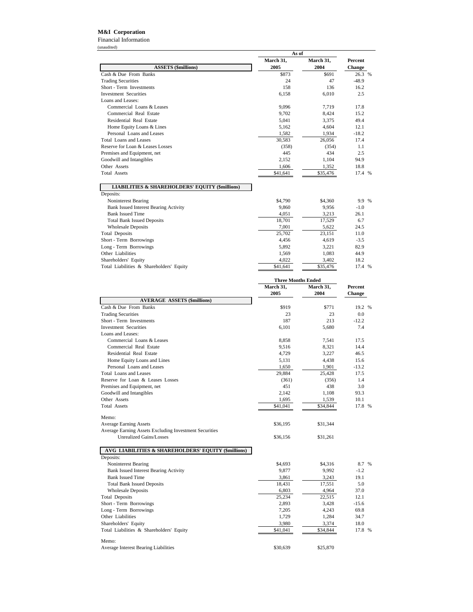## **M&I Corporation**

Financial Information

|                                                            | As of     |                           |         |
|------------------------------------------------------------|-----------|---------------------------|---------|
|                                                            | March 31, | March 31,                 | Percent |
| <b>ASSETS</b> (\$millions)                                 | 2005      | 2004                      | Change  |
| Cash & Due From Banks                                      | \$873     | \$691                     | 26.3 %  |
| <b>Trading Securities</b>                                  | 24        | 47                        | $-48.9$ |
| Short - Term Investments                                   | 158       | 136                       | 16.2    |
| <b>Investment Securities</b>                               | 6,158     | 6,010                     | 2.5     |
| Loans and Leases:                                          |           |                           |         |
| Commercial Loans & Leases                                  | 9,096     | 7,719                     | 17.8    |
| Commercial Real Estate                                     | 9,702     | 8,424                     | 15.2    |
| Residential Real Estate                                    | 5,041     | 3,375                     | 49.4    |
| Home Equity Loans & Lines                                  | 5,162     | 4,604                     | 12.1    |
| Personal Loans and Leases                                  | 1,582     | 1,934                     | $-18.2$ |
| Total Loans and Leases                                     | 30,583    | 26,056                    | 17.4    |
| Reserve for Loan & Leases Losses                           | (358)     | (354)                     | 1.1     |
| Premises and Equipment, net                                | 445       | 434                       | 2.5     |
| Goodwill and Intangibles                                   | 2,152     | 1,104                     | 94.9    |
| Other Assets                                               | 1,606     | 1,352                     | 18.8    |
| <b>Total Assets</b>                                        | \$41,641  | \$35,476                  | 17.4 %  |
|                                                            |           |                           |         |
| <b>LIABILITIES &amp; SHAREHOLDERS' EQUITY (\$millions)</b> |           |                           |         |
| Deposits:                                                  |           |                           |         |
| Noninterest Bearing                                        | \$4,790   | \$4,360                   | 9.9 %   |
| <b>Bank Issued Interest Bearing Activity</b>               | 9,860     | 9,956                     | $-1.0$  |
| <b>Bank Issued Time</b>                                    | 4,051     | 3,213                     | 26.1    |
| <b>Total Bank Issued Deposits</b>                          | 18,701    | 17,529                    | 6.7     |
| <b>Wholesale Deposits</b>                                  | 7,001     | 5,622                     | 24.5    |
| <b>Total Deposits</b>                                      | 25,702    | 23,151                    | 11.0    |
| Short - Term Borrowings                                    | 4,456     | 4,619                     | $-3.5$  |
| Long - Term Borrowings                                     | 5,892     | 3,221                     | 82.9    |
| Other Liabilities                                          | 1,569     | 1,083                     | 44.9    |
| Shareholders' Equity                                       | 4,022     | 3,402                     | 18.2    |
| Total Liabilities & Shareholders' Equity                   | \$41,641  | \$35,476                  | 17.4 %  |
|                                                            |           | <b>Three Months Ended</b> |         |
|                                                            | March 31, | March 31,                 | Percent |
|                                                            | 2005      | 2004                      | Change  |
| <b>AVERAGE ASSETS (\$millions)</b>                         |           |                           |         |
| Cash & Due From Banks                                      | \$919     | \$771                     | 19.2 %  |
| <b>Trading Securities</b>                                  | 23        | 23                        | 0.0     |
| Short - Term Investments                                   | 187       | 213                       | $-12.2$ |
| <b>Investment Securities</b>                               | 6,101     | 5,680                     | 7.4     |
| Loans and Leases:                                          |           |                           |         |
| Commercial Loans & Leases                                  | 8,858     | 7,541                     | 17.5    |
| Commercial Real Estate                                     | 9,516     | 8,321                     | 14.4    |
| Residential Real Estate                                    | 4,729     | 3,227                     | 46.5    |
| Home Equity Loans and Lines                                | 5,131     | 4,438                     | 15.6    |
| Personal Loans and Leases                                  | 1,650     | 1,901                     | $-13.2$ |
| Total Loans and Leases                                     | 29.884    | 25.428                    | 17.5    |

| <b>AVERAGE ASSETS (\$millions)</b>                     |          |          |         |  |
|--------------------------------------------------------|----------|----------|---------|--|
| Cash & Due From Banks                                  | \$919    | \$771    | 19.2 %  |  |
| <b>Trading Securities</b>                              | 23       | 23       | 0.0     |  |
| Short - Term Investments                               | 187      | 213      | $-12.2$ |  |
| <b>Investment Securities</b>                           | 6,101    | 5,680    | 7.4     |  |
| Loans and Leases:                                      |          |          |         |  |
| Commercial Loans & Leases                              | 8,858    | 7,541    | 17.5    |  |
| Commercial Real Estate                                 | 9,516    | 8,321    | 14.4    |  |
| Residential Real Estate                                | 4,729    | 3,227    | 46.5    |  |
| Home Equity Loans and Lines                            | 5,131    | 4,438    | 15.6    |  |
| Personal Loans and Leases                              | 1,650    | 1,901    | $-13.2$ |  |
| <b>Total Loans and Leases</b>                          | 29.884   | 25,428   | 17.5    |  |
| Reserve for Loan & Leases Losses                       | (361)    | (356)    | 1.4     |  |
| Premises and Equipment, net                            | 451      | 438      | 3.0     |  |
| Goodwill and Intangibles                               | 2,142    | 1,108    | 93.3    |  |
| Other Assets                                           | 1,695    | 1,539    | 10.1    |  |
| Total Assets                                           | \$41,041 | \$34,844 | 17.8 %  |  |
| Memo:                                                  |          |          |         |  |
| <b>Average Earning Assets</b>                          | \$36,195 | \$31,344 |         |  |
| Average Earning Assets Excluding Investment Securities |          |          |         |  |
| <b>Unrealized Gains/Losses</b>                         | \$36,156 | \$31,261 |         |  |
| AVG LIABILITIES & SHAREHOLDERS' EQUITY (\$millions)    |          |          |         |  |
| Deposits:                                              |          |          |         |  |
| Noninterest Bearing                                    | \$4,693  | \$4,316  | 8.7 %   |  |
| <b>Bank Issued Interest Bearing Activity</b>           | 9,877    | 9,992    | $-1.2$  |  |
| <b>Bank Issued Time</b>                                | 3,861    | 3,243    | 19.1    |  |
| <b>Total Bank Issued Deposits</b>                      | 18,431   | 17,551   | 5.0     |  |
| <b>Wholesale Deposits</b>                              | 6,803    | 4,964    | 37.0    |  |
| <b>Total Deposits</b>                                  | 25,234   | 22,515   | 12.1    |  |
| Short - Term Borrowings                                | 2,893    | 3,428    | $-15.6$ |  |
| Long - Term Borrowings                                 | 7,205    | 4,243    | 69.8    |  |
| Other Liabilities                                      | 1,729    | 1,284    | 34.7    |  |
| Shareholders' Equity                                   | 3,980    | 3,374    | 18.0    |  |
| Total Liabilities & Shareholders' Equity               | \$41,041 | \$34,844 | 17.8 %  |  |
| Memo:                                                  |          |          |         |  |
| Average Interest Bearing Liabilities                   | \$30,639 | \$25,870 |         |  |